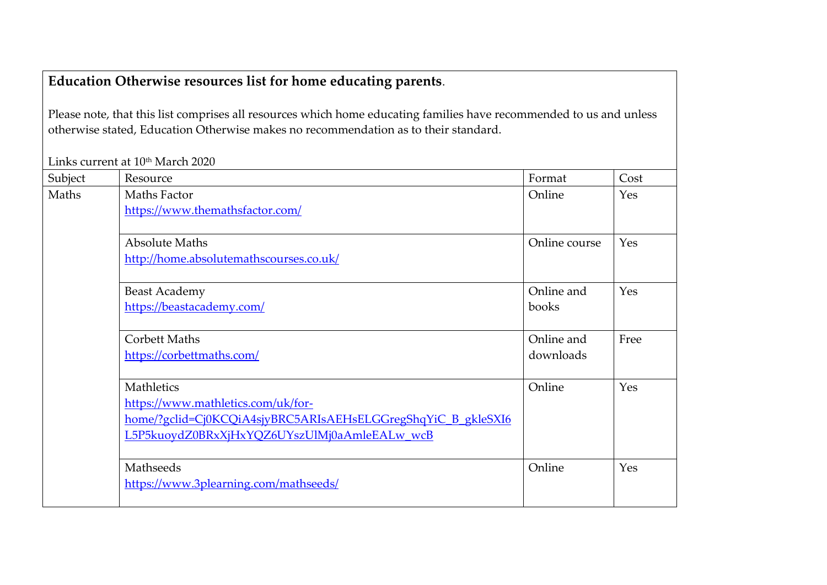## **Education Otherwise resources list for home educating parents**.

Please note, that this list comprises all resources which home educating families have recommended to us and unless otherwise stated, Education Otherwise makes no recommendation as to their standard.

Links current at 10<sup>th</sup> March 2020

| Subject | Resource                                                     | Format        | Cost |
|---------|--------------------------------------------------------------|---------------|------|
| Maths   | Maths Factor                                                 | Online        | Yes  |
|         | https://www.themathsfactor.com/                              |               |      |
|         |                                                              |               |      |
|         | <b>Absolute Maths</b>                                        | Online course | Yes  |
|         | http://home.absolutemathscourses.co.uk/                      |               |      |
|         |                                                              |               |      |
|         | <b>Beast Academy</b>                                         | Online and    | Yes  |
|         | https://beastacademy.com/                                    | books         |      |
|         |                                                              |               |      |
|         | <b>Corbett Maths</b>                                         | Online and    | Free |
|         | https://corbettmaths.com/                                    | downloads     |      |
|         |                                                              |               |      |
|         | Mathletics                                                   | Online        | Yes  |
|         | https://www.mathletics.com/uk/for-                           |               |      |
|         | home/?gclid=Cj0KCQiA4sjyBRC5ARIsAEHsELGGregShqYiC_B_gkleSXI6 |               |      |
|         | L5P5kuoydZ0BRxXjHxYQZ6UYszUlMj0aAmleEALw wcB                 |               |      |
|         |                                                              |               |      |
|         | Mathseeds                                                    | Online        | Yes  |
|         | https://www.3plearning.com/mathseeds/                        |               |      |
|         |                                                              |               |      |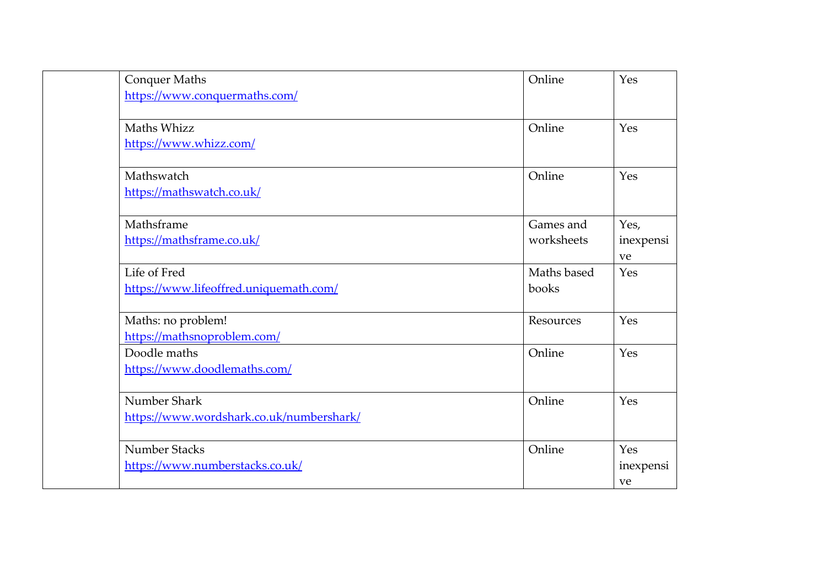| <b>Conquer Maths</b>                     | Online      | Yes        |
|------------------------------------------|-------------|------------|
| https://www.conquermaths.com/            |             |            |
|                                          |             |            |
| Maths Whizz                              | Online      | Yes        |
| https://www.whizz.com/                   |             |            |
| Mathswatch                               | Online      | Yes        |
| https://mathswatch.co.uk/                |             |            |
|                                          |             |            |
| Mathsframe                               | Games and   | Yes,       |
| https://mathsframe.co.uk/                | worksheets  | inexpensi  |
|                                          |             | ve         |
| Life of Fred                             | Maths based | <b>Yes</b> |
| https://www.lifeoffred.uniquemath.com/   | books       |            |
| Maths: no problem!                       | Resources   | Yes        |
| https://mathsnoproblem.com/              |             |            |
| Doodle maths                             | Online      | Yes        |
| https://www.doodlemaths.com/             |             |            |
| Number Shark                             | Online      | Yes        |
| https://www.wordshark.co.uk/numbershark/ |             |            |
|                                          |             |            |
| Number Stacks                            | Online      | Yes        |
| https://www.numberstacks.co.uk/          |             | inexpensi  |
|                                          |             | ve         |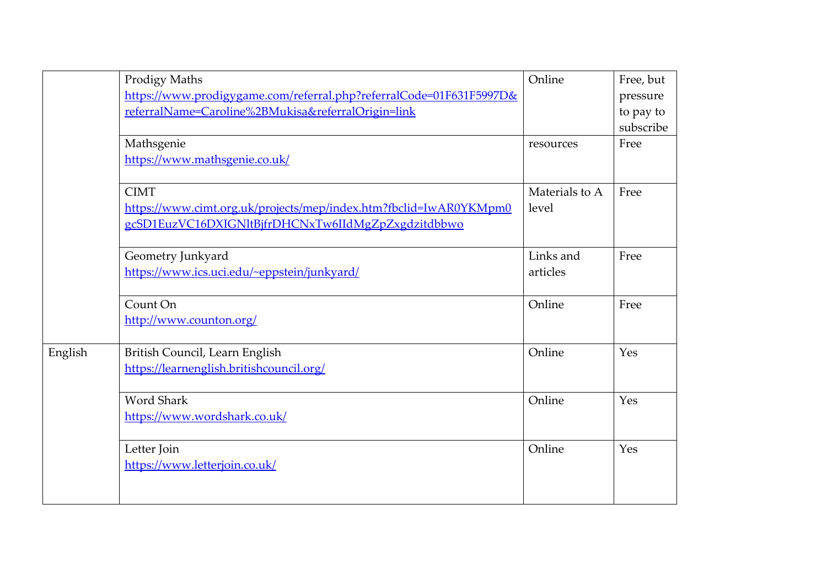|         | <b>Prodigy Maths</b>                                                       | Online         | Free, but |
|---------|----------------------------------------------------------------------------|----------------|-----------|
|         | https://www.prodigygame.com/referral.php?referralCode=01F631F5997D&        |                | pressure  |
|         | referralName=Caroline%2BMukisa&referralOrigin=link                         |                | to pay to |
|         |                                                                            |                | subscribe |
|         | Mathsgenie                                                                 | resources      | Free      |
|         | https://www.mathsgenie.co.uk/                                              |                |           |
|         |                                                                            |                |           |
|         | <b>CIMT</b>                                                                | Materials to A | Free      |
|         | https://www.cimt.org.uk/projects/mep/index.htm?fbclid=IwAR0YKMpm0          | level          |           |
|         | gcSD1EuzVC16DXIGNltBjfrDHCNxTw6IIdMgZpZxgdzitdbbwo                         |                |           |
|         |                                                                            |                |           |
|         | Geometry Junkyard                                                          | Links and      | Free      |
|         | https://www.ics.uci.edu/~eppstein/junkyard/                                | articles       |           |
|         |                                                                            |                |           |
|         | Count On                                                                   | Online         | Free      |
|         | http://www.counton.org/                                                    |                |           |
|         |                                                                            | Online         | Yes       |
| English | British Council, Learn English<br>https://learnenglish.britishcouncil.org/ |                |           |
|         |                                                                            |                |           |
|         | <b>Word Shark</b>                                                          | Online         | Yes       |
|         | https://www.wordshark.co.uk/                                               |                |           |
|         |                                                                            |                |           |
|         | Letter Join                                                                | Online         | Yes       |
|         | https://www.letterjoin.co.uk/                                              |                |           |
|         |                                                                            |                |           |
|         |                                                                            |                |           |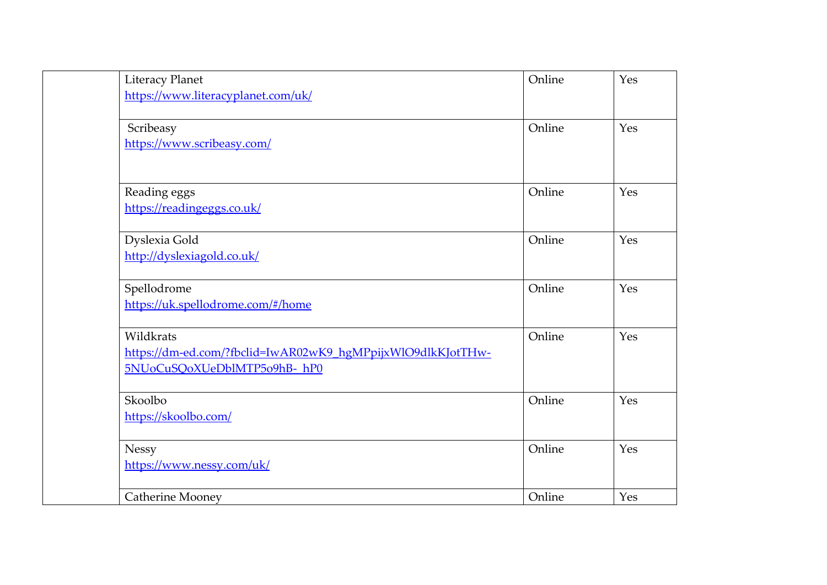| <b>Literacy Planet</b>                                      | Online | Yes |
|-------------------------------------------------------------|--------|-----|
| https://www.literacyplanet.com/uk/                          |        |     |
|                                                             |        |     |
| Scribeasy                                                   | Online | Yes |
| https://www.scribeasy.com/                                  |        |     |
|                                                             |        |     |
| Reading eggs                                                | Online | Yes |
| https://readingeggs.co.uk/                                  |        |     |
|                                                             |        |     |
| Dyslexia Gold                                               | Online | Yes |
| http://dyslexiagold.co.uk/                                  |        |     |
|                                                             |        |     |
| Spellodrome                                                 | Online | Yes |
| https://uk.spellodrome.com/#/home                           |        |     |
|                                                             |        |     |
| Wildkrats                                                   | Online | Yes |
| https://dm-ed.com/?fbclid=IwAR02wK9_hgMPpijxWlO9dlkKJotTHw- |        |     |
| 5NUoCuSQoXUeDblMTP5o9hB-hP0                                 |        |     |
| Skoolbo                                                     | Online | Yes |
| https://skoolbo.com/                                        |        |     |
|                                                             |        |     |
| <b>Nessy</b>                                                | Online | Yes |
| https://www.nessy.com/uk/                                   |        |     |
|                                                             |        |     |
| <b>Catherine Mooney</b>                                     | Online | Yes |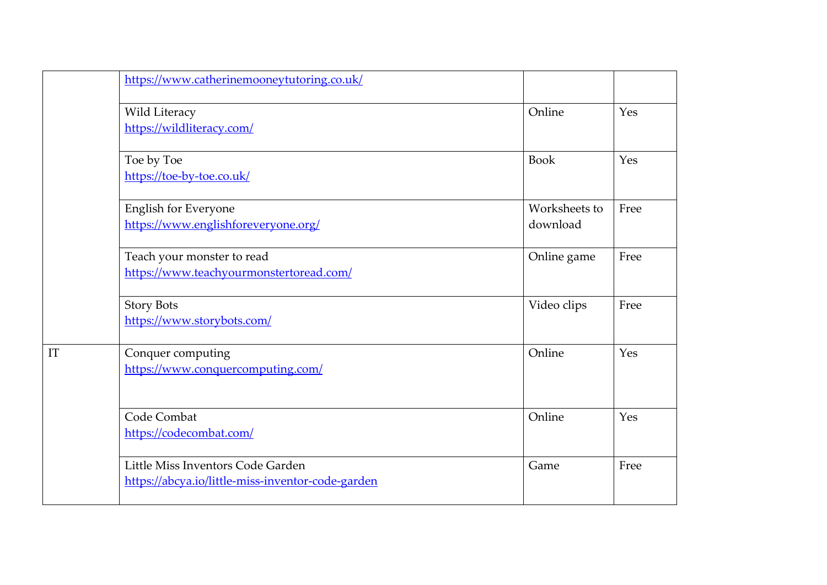|    | https://www.catherinemooneytutoring.co.uk/                                             |                           |      |
|----|----------------------------------------------------------------------------------------|---------------------------|------|
|    | Wild Literacy<br>https://wildliteracy.com/                                             | Online                    | Yes  |
|    | Toe by Toe<br>https://toe-by-toe.co.uk/                                                | <b>Book</b>               | Yes  |
|    | <b>English for Everyone</b><br>https://www.englishforeveryone.org/                     | Worksheets to<br>download | Free |
|    | Teach your monster to read<br>https://www.teachyourmonstertoread.com/                  | Online game               | Free |
|    | <b>Story Bots</b><br>https://www.storybots.com/                                        | Video clips               | Free |
| IT | Conquer computing<br>https://www.conquercomputing.com/                                 | Online                    | Yes  |
|    | Code Combat<br>https://codecombat.com/                                                 | Online                    | Yes  |
|    | Little Miss Inventors Code Garden<br>https://abcya.io/little-miss-inventor-code-garden | Game                      | Free |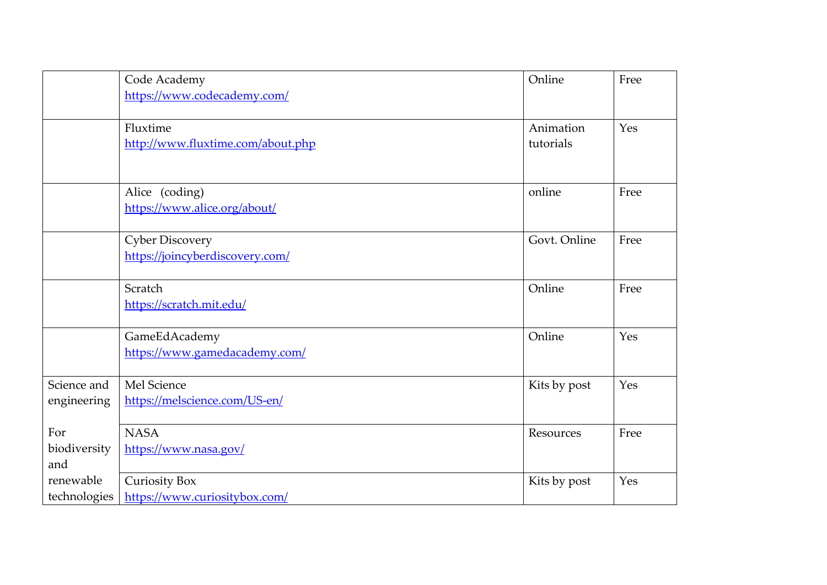|              | Code Academy                      | Online       | Free |
|--------------|-----------------------------------|--------------|------|
|              | https://www.codecademy.com/       |              |      |
|              |                                   |              |      |
|              | Fluxtime                          | Animation    | Yes  |
|              | http://www.fluxtime.com/about.php | tutorials    |      |
|              |                                   |              |      |
|              |                                   |              |      |
|              | Alice (coding)                    | online       | Free |
|              | https://www.alice.org/about/      |              |      |
|              | <b>Cyber Discovery</b>            | Govt. Online | Free |
|              | https://joincyberdiscovery.com/   |              |      |
|              |                                   |              |      |
|              | Scratch                           | Online       | Free |
|              | https://scratch.mit.edu/          |              |      |
|              |                                   |              |      |
|              | GameEdAcademy                     | Online       | Yes  |
|              | https://www.gamedacademy.com/     |              |      |
| Science and  | Mel Science                       | Kits by post | Yes  |
| engineering  | https://melscience.com/US-en/     |              |      |
|              |                                   |              |      |
| For          | <b>NASA</b>                       | Resources    | Free |
| biodiversity | https://www.nasa.gov/             |              |      |
| and          |                                   |              |      |
| renewable    | <b>Curiosity Box</b>              | Kits by post | Yes  |
| technologies | https://www.curiositybox.com/     |              |      |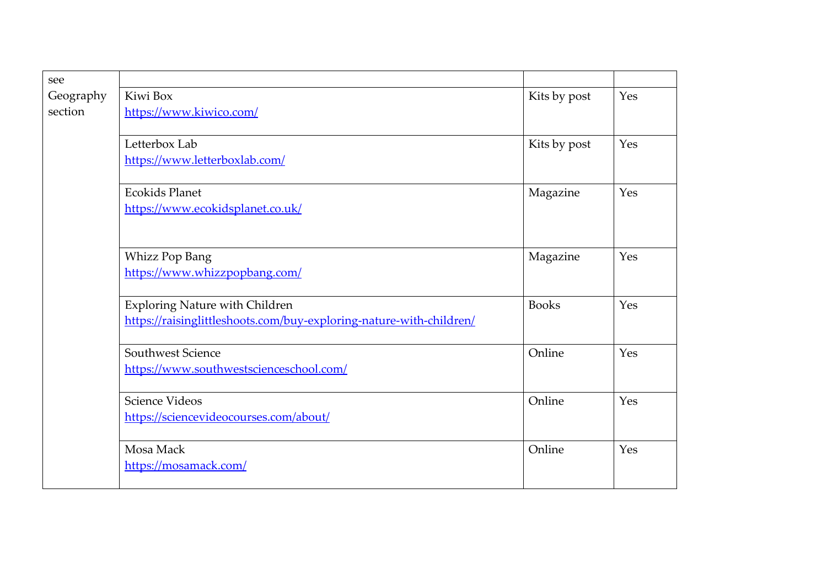| see       |                                                                     |              |     |
|-----------|---------------------------------------------------------------------|--------------|-----|
| Geography | Kiwi Box                                                            | Kits by post | Yes |
| section   | https://www.kiwico.com/                                             |              |     |
|           |                                                                     |              |     |
|           | Letterbox Lab                                                       | Kits by post | Yes |
|           | https://www.letterboxlab.com/                                       |              |     |
|           | <b>Ecokids Planet</b>                                               | Magazine     | Yes |
|           | https://www.ecokidsplanet.co.uk/                                    |              |     |
|           |                                                                     |              |     |
|           | <b>Whizz Pop Bang</b>                                               | Magazine     | Yes |
|           | https://www.whizzpopbang.com/                                       |              |     |
|           | <b>Exploring Nature with Children</b>                               | <b>Books</b> | Yes |
|           | https://raisinglittleshoots.com/buy-exploring-nature-with-children/ |              |     |
|           | Southwest Science                                                   | Online       | Yes |
|           | https://www.southwestscienceschool.com/                             |              |     |
|           | Science Videos                                                      | Online       | Yes |
|           | https://sciencevideocourses.com/about/                              |              |     |
|           | Mosa Mack                                                           | Online       | Yes |
|           | https://mosamack.com/                                               |              |     |
|           |                                                                     |              |     |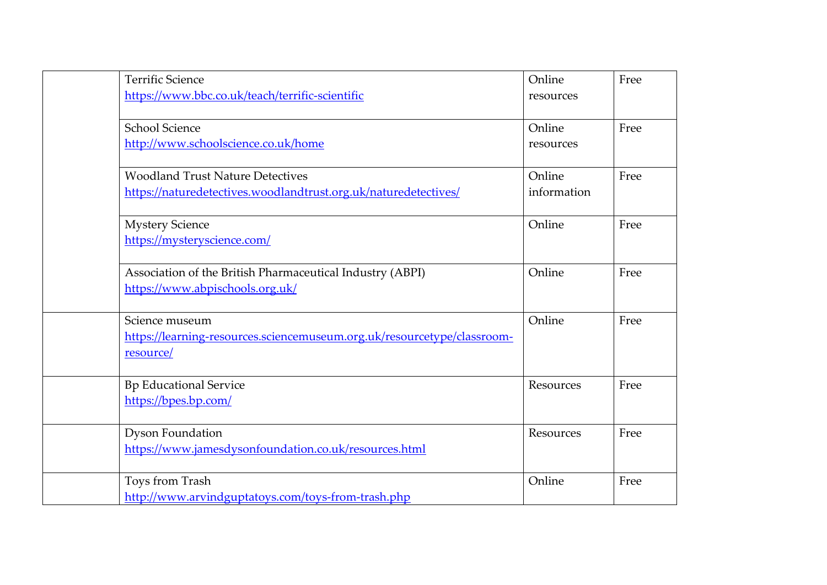| <b>Terrific Science</b>                                                 | Online      | Free |
|-------------------------------------------------------------------------|-------------|------|
| https://www.bbc.co.uk/teach/terrific-scientific                         | resources   |      |
|                                                                         |             |      |
| <b>School Science</b>                                                   | Online      | Free |
| http://www.schoolscience.co.uk/home                                     | resources   |      |
|                                                                         |             |      |
| <b>Woodland Trust Nature Detectives</b>                                 | Online      | Free |
| https://naturedetectives.woodlandtrust.org.uk/naturedetectives/         | information |      |
|                                                                         |             |      |
| <b>Mystery Science</b>                                                  | Online      | Free |
| https://mysteryscience.com/                                             |             |      |
|                                                                         |             |      |
| Association of the British Pharmaceutical Industry (ABPI)               | Online      | Free |
| https://www.abpischools.org.uk/                                         |             |      |
|                                                                         |             |      |
| Science museum                                                          | Online      | Free |
| https://learning-resources.sciencemuseum.org.uk/resourcetype/classroom- |             |      |
| resource/                                                               |             |      |
| <b>Bp Educational Service</b>                                           | Resources   | Free |
| https://bpes.bp.com/                                                    |             |      |
|                                                                         |             |      |
| <b>Dyson Foundation</b>                                                 | Resources   | Free |
| https://www.jamesdysonfoundation.co.uk/resources.html                   |             |      |
|                                                                         |             |      |
| Toys from Trash                                                         | Online      | Free |
| http://www.arvindguptatoys.com/toys-from-trash.php                      |             |      |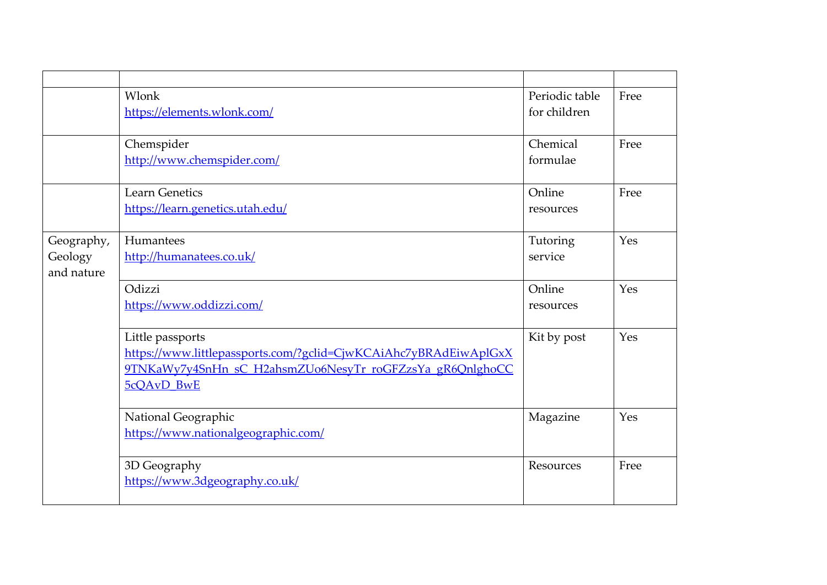|            | Wlonk                                                            | Periodic table | Free |
|------------|------------------------------------------------------------------|----------------|------|
|            | https://elements.wlonk.com/                                      | for children   |      |
|            |                                                                  |                |      |
|            | Chemspider                                                       | Chemical       | Free |
|            | http://www.chemspider.com/                                       | formulae       |      |
|            |                                                                  |                |      |
|            | <b>Learn Genetics</b>                                            | Online         | Free |
|            | https://learn.genetics.utah.edu/                                 | resources      |      |
|            |                                                                  |                |      |
| Geography, | Humantees                                                        | Tutoring       | Yes  |
| Geology    | http://humanatees.co.uk/                                         | service        |      |
| and nature |                                                                  |                |      |
|            | Odizzi                                                           | Online         | Yes  |
|            | https://www.oddizzi.com/                                         | resources      |      |
|            |                                                                  |                |      |
|            | Little passports                                                 | Kit by post    | Yes  |
|            | https://www.littlepassports.com/?gclid=CjwKCAiAhc7yBRAdEiwAplGxX |                |      |
|            | 9TNKaWy7y4SnHn sC H2ahsmZUo6NesyTr roGFZzsYa gR6QnlghoCC         |                |      |
|            | 5cQAvD BwE                                                       |                |      |
|            |                                                                  |                | Yes  |
|            | National Geographic                                              | Magazine       |      |
|            | https://www.nationalgeographic.com/                              |                |      |
|            | 3D Geography                                                     | Resources      | Free |
|            | https://www.3dgeography.co.uk/                                   |                |      |
|            |                                                                  |                |      |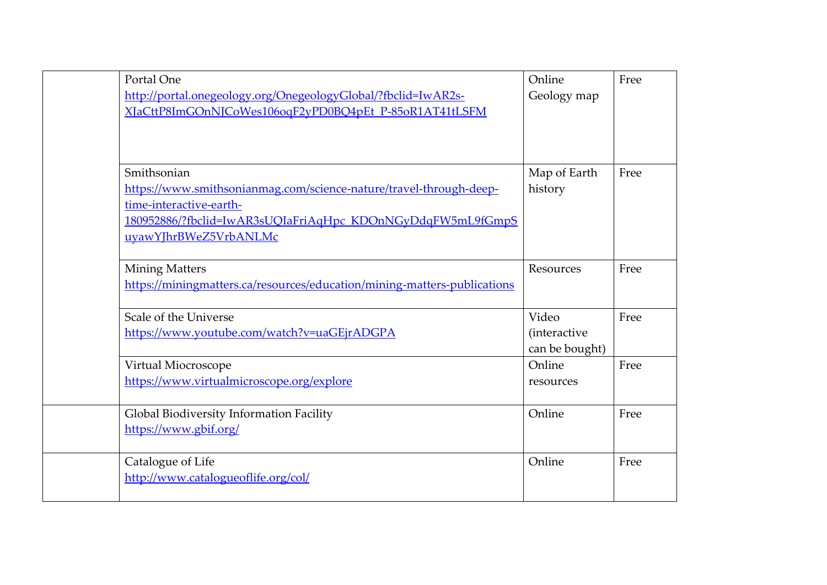| Portal One                                                               | Online              | Free |
|--------------------------------------------------------------------------|---------------------|------|
| http://portal.onegeology.org/OnegeologyGlobal/?fbclid=IwAR2s-            | Geology map         |      |
| XJaCttP8ImGOnNJCoWes106oqF2yPD0BQ4pEt_P-85oR1AT41tLSFM                   |                     |      |
|                                                                          |                     |      |
|                                                                          |                     |      |
| Smithsonian                                                              | Map of Earth        | Free |
| https://www.smithsonianmag.com/science-nature/travel-through-deep-       | history             |      |
| time-interactive-earth-                                                  |                     |      |
| 180952886/?fbclid=IwAR3sUQIaFriAqHpc KDOnNGyDdqFW5mL9fGmpS               |                     |      |
| uyawYJhrBWeZ5VrbANLMc                                                    |                     |      |
|                                                                          |                     |      |
| <b>Mining Matters</b>                                                    | Resources           | Free |
| https://miningmatters.ca/resources/education/mining-matters-publications |                     |      |
|                                                                          |                     |      |
| Scale of the Universe                                                    | Video               | Free |
| https://www.youtube.com/watch?v=uaGEjrADGPA                              | <i>(interactive</i> |      |
|                                                                          | can be bought)      |      |
| Virtual Miocroscope                                                      | Online              | Free |
| https://www.virtualmicroscope.org/explore                                | resources           |      |
|                                                                          |                     |      |
| Global Biodiversity Information Facility                                 | Online              | Free |
| https://www.gbif.org/                                                    |                     |      |
|                                                                          |                     |      |
| Catalogue of Life                                                        | Online              | Free |
| http://www.catalogueoflife.org/col/                                      |                     |      |
|                                                                          |                     |      |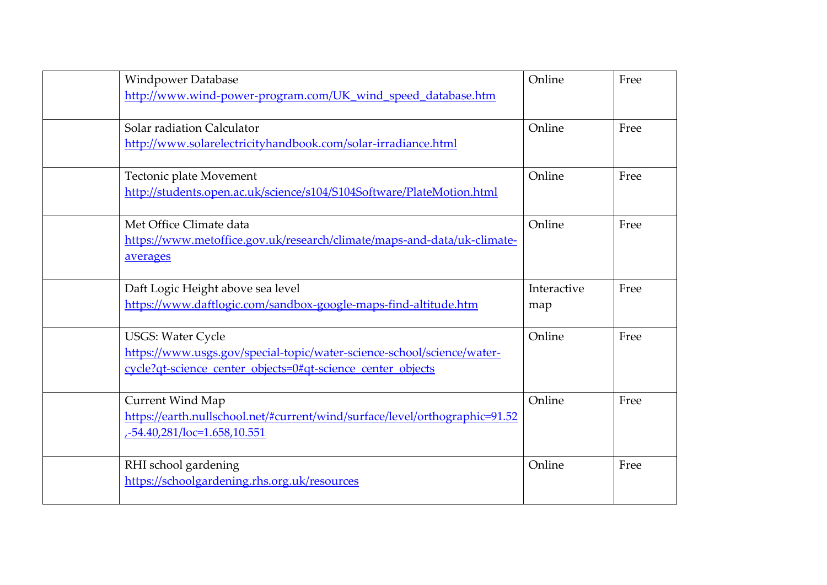| <b>Windpower Database</b>                                                   | Online      | Free |
|-----------------------------------------------------------------------------|-------------|------|
| http://www.wind-power-program.com/UK_wind_speed_database.htm                |             |      |
| Solar radiation Calculator                                                  | Online      | Free |
| http://www.solarelectricityhandbook.com/solar-irradiance.html               |             |      |
| Tectonic plate Movement                                                     | Online      | Free |
| http://students.open.ac.uk/science/s104/S104Software/PlateMotion.html       |             |      |
| Met Office Climate data                                                     | Online      | Free |
| https://www.metoffice.gov.uk/research/climate/maps-and-data/uk-climate-     |             |      |
| averages                                                                    |             |      |
| Daft Logic Height above sea level                                           | Interactive | Free |
| https://www.daftlogic.com/sandbox-google-maps-find-altitude.htm             | map         |      |
| <b>USGS: Water Cycle</b>                                                    | Online      | Free |
| https://www.usgs.gov/special-topic/water-science-school/science/water-      |             |      |
| cycle?qt-science_center_objects=0#qt-science_center_objects                 |             |      |
| <b>Current Wind Map</b>                                                     | Online      | Free |
| https://earth.nullschool.net/#current/wind/surface/level/orthographic=91.52 |             |      |
| -54.40,281/loc=1.658,10.551                                                 |             |      |
| RHI school gardening                                                        | Online      | Free |
| https://schoolgardening.rhs.org.uk/resources                                |             |      |
|                                                                             |             |      |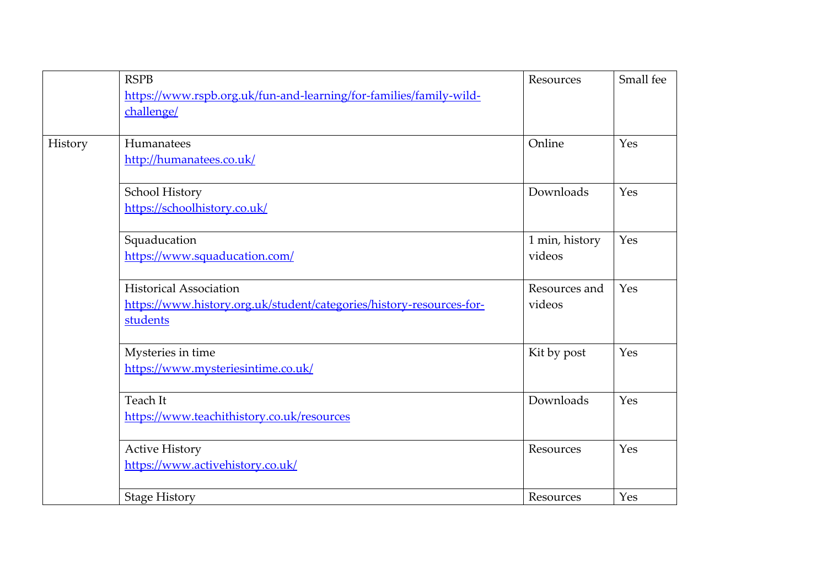|         | <b>RSPB</b>                                                          | Resources      | Small fee |
|---------|----------------------------------------------------------------------|----------------|-----------|
|         | https://www.rspb.org.uk/fun-and-learning/for-families/family-wild-   |                |           |
|         | challenge/                                                           |                |           |
|         |                                                                      |                |           |
| History | Humanatees                                                           | Online         | Yes       |
|         | http://humanatees.co.uk/                                             |                |           |
|         | School History                                                       | Downloads      | Yes       |
|         | https://schoolhistory.co.uk/                                         |                |           |
|         | Squaducation                                                         | 1 min, history | Yes       |
|         | https://www.squaducation.com/                                        | videos         |           |
|         | <b>Historical Association</b>                                        | Resources and  | Yes       |
|         | https://www.history.org.uk/student/categories/history-resources-for- | videos         |           |
|         | students                                                             |                |           |
|         | Mysteries in time                                                    | Kit by post    | Yes       |
|         | https://www.mysteriesintime.co.uk/                                   |                |           |
|         | Teach It                                                             | Downloads      | Yes       |
|         | https://www.teachithistory.co.uk/resources                           |                |           |
|         | <b>Active History</b>                                                | Resources      | Yes       |
|         | https://www.activehistory.co.uk/                                     |                |           |
|         | <b>Stage History</b>                                                 | Resources      | Yes       |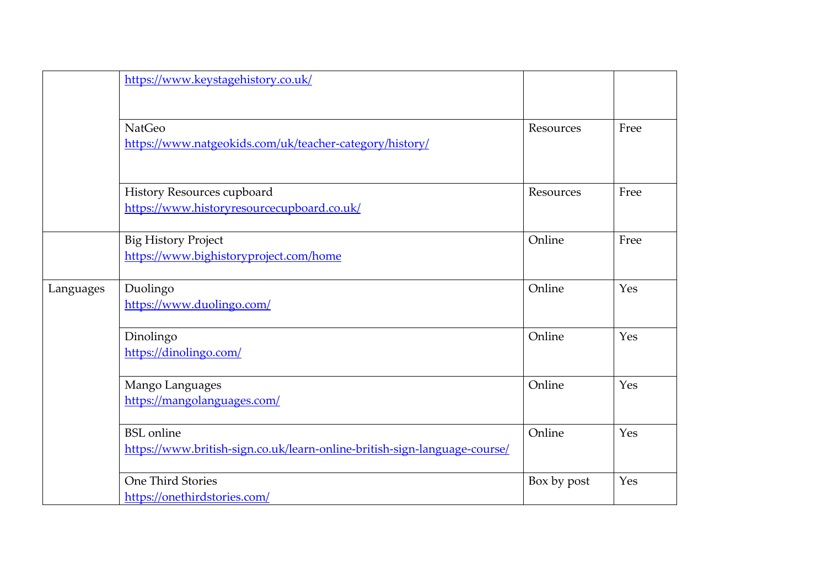|           | https://www.keystagehistory.co.uk/                                                             |             |      |
|-----------|------------------------------------------------------------------------------------------------|-------------|------|
|           | <b>NatGeo</b><br>https://www.natgeokids.com/uk/teacher-category/history/                       | Resources   | Free |
|           | History Resources cupboard<br>https://www.historyresourcecupboard.co.uk/                       | Resources   | Free |
|           | <b>Big History Project</b><br>https://www.bighistoryproject.com/home                           | Online      | Free |
| Languages | Duolingo<br>https://www.duolingo.com/                                                          | Online      | Yes  |
|           | Dinolingo<br>https://dinolingo.com/                                                            | Online      | Yes  |
|           | Mango Languages<br>https://mangolanguages.com/                                                 | Online      | Yes  |
|           | <b>BSL</b> online<br>https://www.british-sign.co.uk/learn-online-british-sign-language-course/ | Online      | Yes  |
|           | One Third Stories<br>https://onethirdstories.com/                                              | Box by post | Yes  |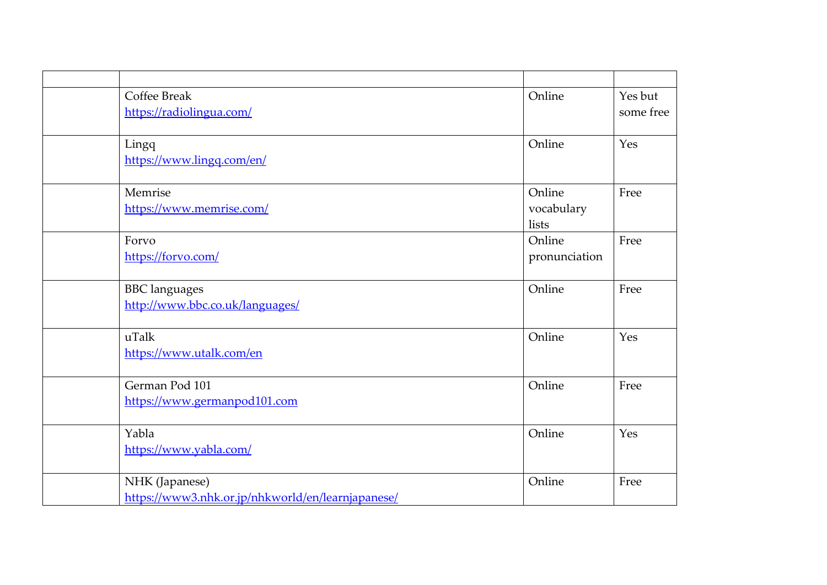| <b>Coffee Break</b>                               | Online        | Yes but   |
|---------------------------------------------------|---------------|-----------|
| https://radiolingua.com/                          |               | some free |
|                                                   |               |           |
| Lingq                                             | Online        | Yes       |
| https://www.lingq.com/en/                         |               |           |
|                                                   |               |           |
| Memrise                                           | Online        | Free      |
| https://www.memrise.com/                          | vocabulary    |           |
|                                                   | lists         |           |
| Forvo                                             | Online        | Free      |
| https://forvo.com/                                | pronunciation |           |
|                                                   |               |           |
| <b>BBC</b> languages                              | Online        | Free      |
| http://www.bbc.co.uk/languages/                   |               |           |
|                                                   |               |           |
| uTalk                                             | Online        | Yes       |
| https://www.utalk.com/en                          |               |           |
|                                                   |               |           |
| German Pod 101                                    | Online        | Free      |
| https://www.germanpod101.com                      |               |           |
|                                                   |               |           |
| Yabla                                             | Online        | Yes       |
| https://www.yabla.com/                            |               |           |
|                                                   |               |           |
| NHK (Japanese)                                    | Online        | Free      |
| https://www3.nhk.or.jp/nhkworld/en/learnjapanese/ |               |           |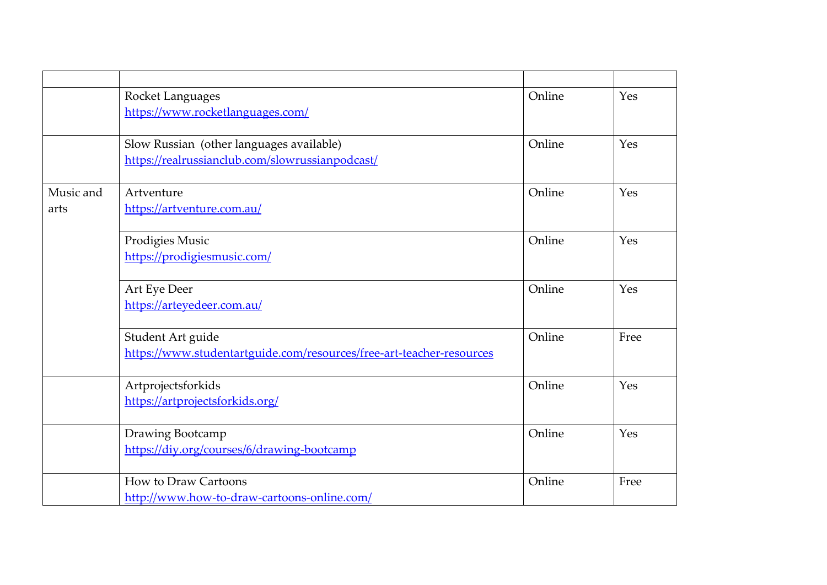|           | Rocket Languages                                                     | Online | Yes  |
|-----------|----------------------------------------------------------------------|--------|------|
|           | https://www.rocketlanguages.com/                                     |        |      |
|           |                                                                      |        |      |
|           | Slow Russian (other languages available)                             | Online | Yes  |
|           | https://realrussianclub.com/slowrussianpodcast/                      |        |      |
| Music and | Artventure                                                           | Online | Yes  |
| arts      | https://artventure.com.au/                                           |        |      |
|           | Prodigies Music                                                      | Online | Yes  |
|           | https://prodigiesmusic.com/                                          |        |      |
|           | Art Eye Deer                                                         | Online | Yes  |
|           | https://arteyedeer.com.au/                                           |        |      |
|           | Student Art guide                                                    | Online | Free |
|           | https://www.studentartguide.com/resources/free-art-teacher-resources |        |      |
|           | Artprojectsforkids                                                   | Online | Yes  |
|           | https://artprojectsforkids.org/                                      |        |      |
|           | Drawing Bootcamp                                                     | Online | Yes  |
|           | https://diy.org/courses/6/drawing-bootcamp                           |        |      |
|           | <b>How to Draw Cartoons</b>                                          | Online | Free |
|           | http://www.how-to-draw-cartoons-online.com/                          |        |      |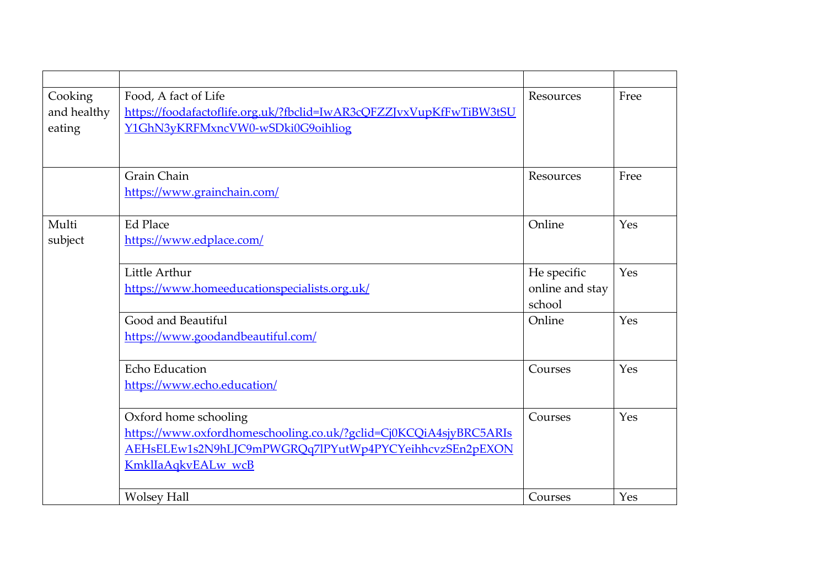| Cooking<br>and healthy<br>eating | Food, A fact of Life<br>https://foodafactoflife.org.uk/?fbclid=IwAR3cQFZZJvxVupKfFwTiBW3tSU<br>Y1GhN3yKRFMxncVW0-wSDki0G9oihliog                                           | Resources                                | Free |
|----------------------------------|----------------------------------------------------------------------------------------------------------------------------------------------------------------------------|------------------------------------------|------|
|                                  | Grain Chain<br>https://www.grainchain.com/                                                                                                                                 | Resources                                | Free |
| Multi<br>subject                 | Ed Place<br>https://www.edplace.com/                                                                                                                                       | Online                                   | Yes  |
|                                  | Little Arthur<br>https://www.homeeducationspecialists.org.uk/                                                                                                              | He specific<br>online and stay<br>school | Yes  |
|                                  | Good and Beautiful<br>https://www.goodandbeautiful.com/                                                                                                                    | Online                                   | Yes  |
|                                  | Echo Education<br>https://www.echo.education/                                                                                                                              | Courses                                  | Yes  |
|                                  | Oxford home schooling<br>https://www.oxfordhomeschooling.co.uk/?gclid=Cj0KCQiA4sjyBRC5ARIs<br>AEHsELEw1s2N9hLJC9mPWGRQq7lPYutWp4PYCYeihhcvzSEn2pEXON<br>KmklIaAqkvEALw wcB | Courses                                  | Yes  |
|                                  | <b>Wolsey Hall</b>                                                                                                                                                         | Courses                                  | Yes  |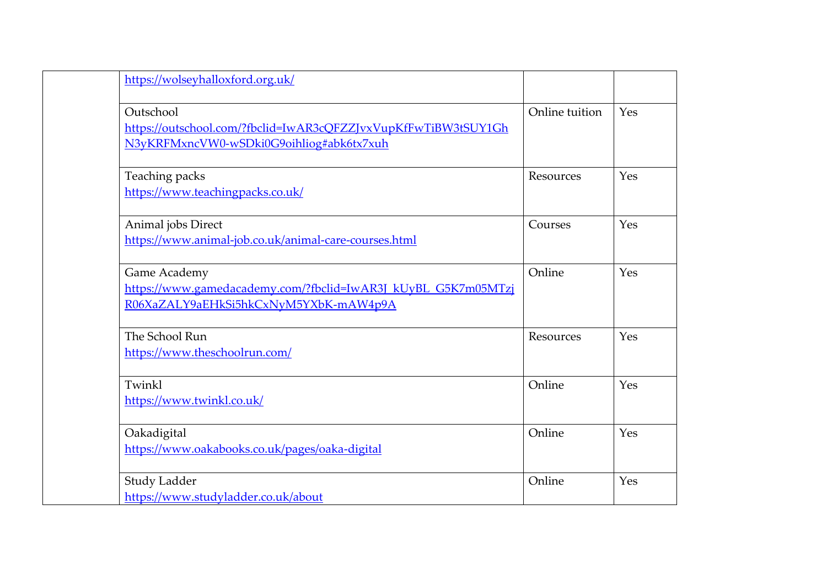| https://wolseyhalloxford.org.uk/                                                                                        |                |     |
|-------------------------------------------------------------------------------------------------------------------------|----------------|-----|
| Outschool<br>https://outschool.com/?fbclid=IwAR3cQFZZJvxVupKfFwTiBW3tSUY1Gh<br>N3yKRFMxncVW0-wSDki0G9oihliog#abk6tx7xuh | Online tuition | Yes |
| Teaching packs<br>https://www.teachingpacks.co.uk/                                                                      | Resources      | Yes |
| Animal jobs Direct<br>https://www.animal-job.co.uk/animal-care-courses.html                                             | Courses        | Yes |
| Game Academy<br>https://www.gamedacademy.com/?fbclid=IwAR3J kUyBL G5K7m05MTzj<br>R06XaZALY9aEHkSi5hkCxNyM5YXbK-mAW4p9A  | Online         | Yes |
| The School Run<br>https://www.theschoolrun.com/                                                                         | Resources      | Yes |
| Twinkl<br>https://www.twinkl.co.uk/                                                                                     | Online         | Yes |
| Oakadigital<br>https://www.oakabooks.co.uk/pages/oaka-digital                                                           | Online         | Yes |
| <b>Study Ladder</b><br>https://www.studyladder.co.uk/about                                                              | Online         | Yes |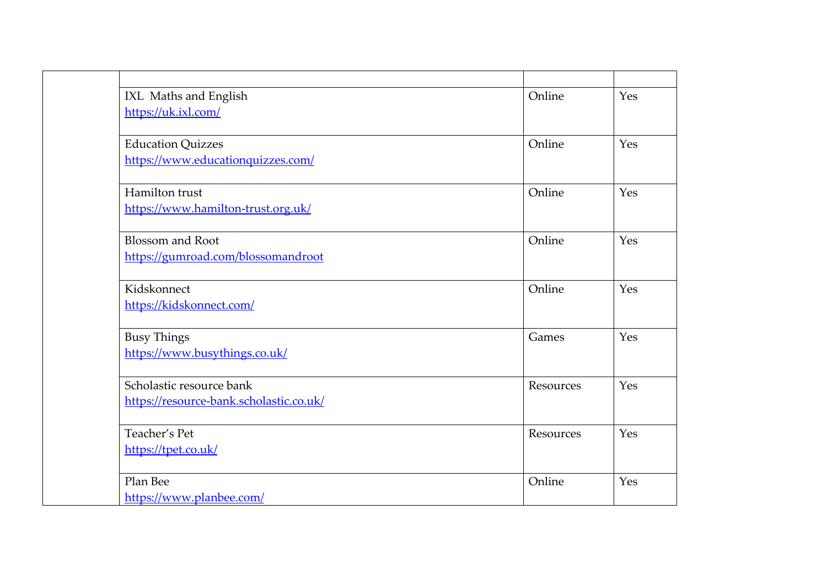| IXL Maths and English                   | Online    | Yes |
|-----------------------------------------|-----------|-----|
| https://uk.ixl.com/                     |           |     |
| <b>Education Quizzes</b>                | Online    | Yes |
| https://www.educationquizzes.com/       |           |     |
| Hamilton trust                          | Online    | Yes |
| https://www.hamilton-trust.org.uk/      |           |     |
| <b>Blossom and Root</b>                 | Online    | Yes |
| https://gumroad.com/blossomandroot      |           |     |
| Kidskonnect                             | Online    | Yes |
| https://kidskonnect.com/                |           |     |
| <b>Busy Things</b>                      | Games     | Yes |
| https://www.busythings.co.uk/           |           |     |
| Scholastic resource bank                | Resources | Yes |
| https://resource-bank.scholastic.co.uk/ |           |     |
| Teacher's Pet                           | Resources | Yes |
| https://tpet.co.uk/                     |           |     |
| Plan Bee                                | Online    | Yes |
| https://www.planbee.com/                |           |     |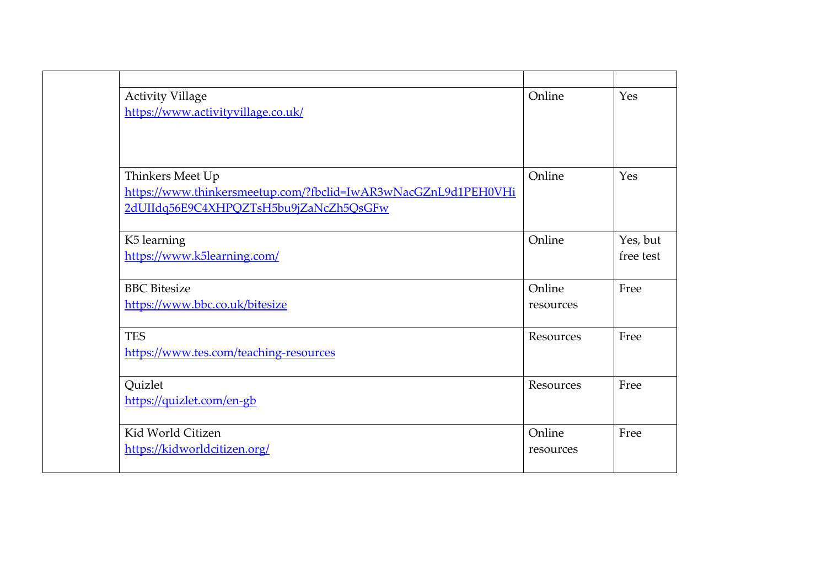| <b>Activity Village</b><br>https://www.activityvillage.co.uk/                                                                | Online              | Yes                   |
|------------------------------------------------------------------------------------------------------------------------------|---------------------|-----------------------|
| Thinkers Meet Up<br>https://www.thinkersmeetup.com/?fbclid=IwAR3wNacGZnL9d1PEH0VHi<br>2dUIIdq56E9C4XHPQZTsH5bu9jZaNcZh5QsGFw | Online              | Yes                   |
| K5 learning<br>https://www.k5learning.com/                                                                                   | Online              | Yes, but<br>free test |
| <b>BBC</b> Bitesize<br>https://www.bbc.co.uk/bitesize                                                                        | Online<br>resources | Free                  |
| <b>TES</b><br>https://www.tes.com/teaching-resources                                                                         | Resources           | Free                  |
| Quizlet<br>https://quizlet.com/en-gb                                                                                         | Resources           | Free                  |
| Kid World Citizen<br>https://kidworldcitizen.org/                                                                            | Online<br>resources | Free                  |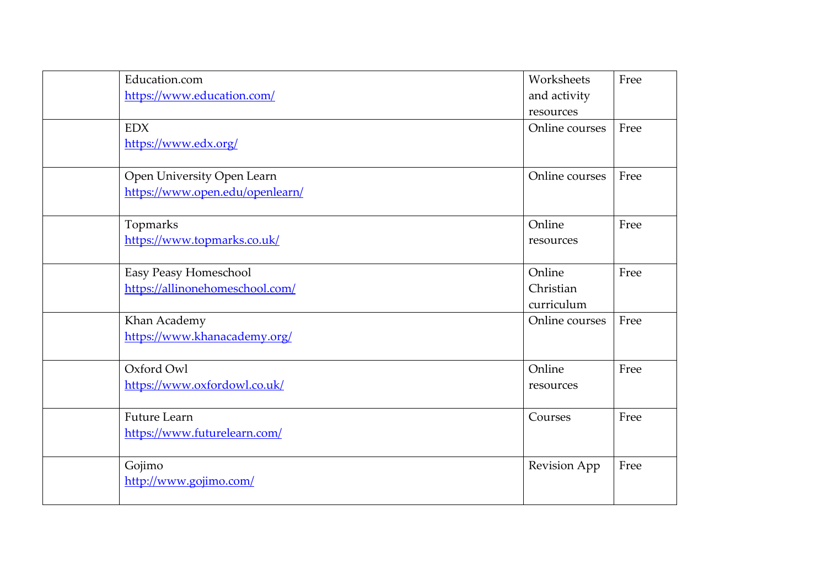| Education.com                   | Worksheets     | Free |
|---------------------------------|----------------|------|
| https://www.education.com/      | and activity   |      |
|                                 | resources      |      |
| <b>EDX</b>                      | Online courses | Free |
| https://www.edx.org/            |                |      |
| Open University Open Learn      | Online courses | Free |
| https://www.open.edu/openlearn/ |                |      |
| Topmarks                        | Online         | Free |
| https://www.topmarks.co.uk/     | resources      |      |
| Easy Peasy Homeschool           | Online         | Free |
| https://allinonehomeschool.com/ | Christian      |      |
|                                 | curriculum     |      |
| Khan Academy                    | Online courses | Free |
| https://www.khanacademy.org/    |                |      |
| Oxford Owl                      | Online         | Free |
| https://www.oxfordowl.co.uk/    | resources      |      |
| <b>Future Learn</b>             | Courses        | Free |
| https://www.futurelearn.com/    |                |      |
| Gojimo                          | Revision App   | Free |
| http://www.gojimo.com/          |                |      |